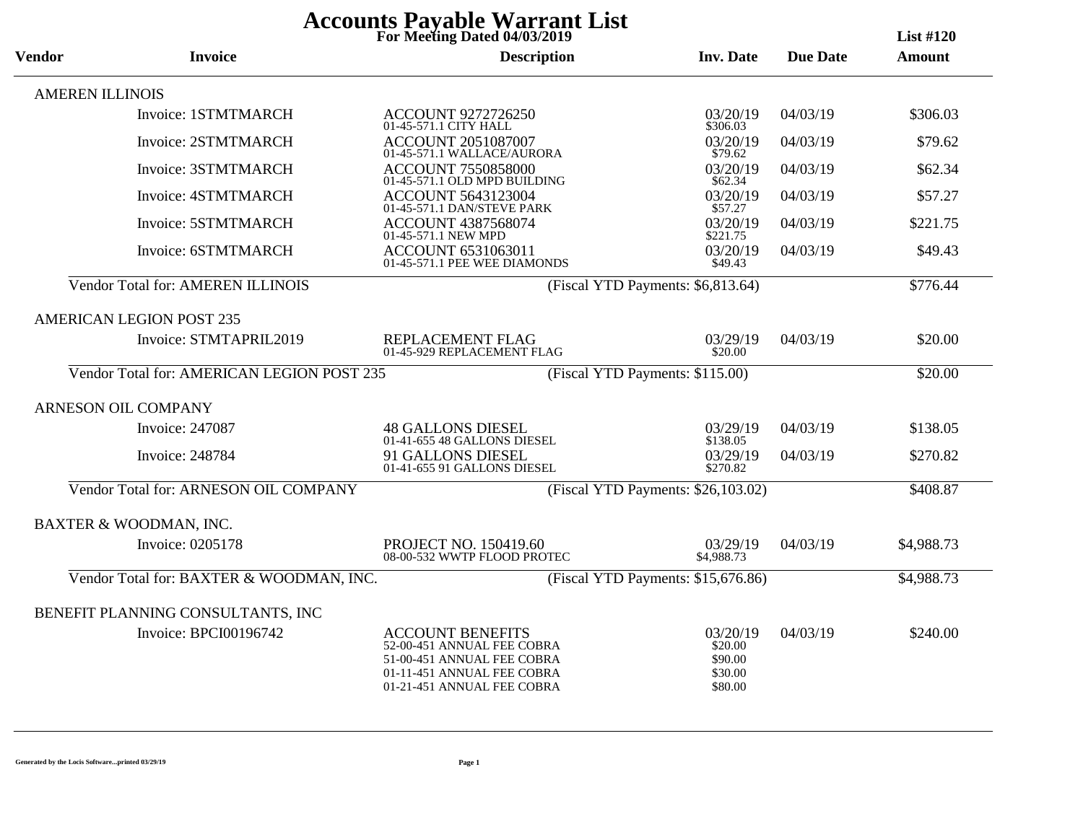| <b>Accounts Payable Warrant List</b><br>For Meeting Dated 04/03/2019<br><b>List #120</b> |                                            |                                                                                                                                                 |                                                      |                 |               |  |
|------------------------------------------------------------------------------------------|--------------------------------------------|-------------------------------------------------------------------------------------------------------------------------------------------------|------------------------------------------------------|-----------------|---------------|--|
| <b>Vendor</b>                                                                            | <b>Invoice</b>                             | <b>Description</b>                                                                                                                              | <b>Inv. Date</b>                                     | <b>Due Date</b> | <b>Amount</b> |  |
|                                                                                          | <b>AMEREN ILLINOIS</b>                     |                                                                                                                                                 |                                                      |                 |               |  |
|                                                                                          | Invoice: 1STMTMARCH                        | <b>ACCOUNT 9272726250</b><br>01-45-571.1 CITY HALL                                                                                              | 03/20/19<br>\$306.03                                 | 04/03/19        | \$306.03      |  |
|                                                                                          | <b>Invoice: 2STMTMARCH</b>                 | <b>ACCOUNT 2051087007</b><br>01-45-571.1 WALLACE/AURORA                                                                                         | 03/20/19<br>\$79.62                                  | 04/03/19        | \$79.62       |  |
|                                                                                          | Invoice: 3STMTMARCH                        | <b>ACCOUNT 7550858000</b><br>01-45-571.1 OLD MPD BUILDING                                                                                       | 03/20/19<br>\$62.34                                  | 04/03/19        | \$62.34       |  |
|                                                                                          | <b>Invoice: 4STMTMARCH</b>                 | <b>ACCOUNT 5643123004</b><br>01-45-571.1 DAN/STEVE PARK                                                                                         | 03/20/19<br>\$57.27                                  | 04/03/19        | \$57.27       |  |
|                                                                                          | Invoice: 5STMTMARCH                        | <b>ACCOUNT 4387568074</b><br>01-45-571.1 NEW MPD                                                                                                | 03/20/19<br>\$221.75                                 | 04/03/19        | \$221.75      |  |
|                                                                                          | Invoice: 6STMTMARCH                        | ACCOUNT 6531063011<br>01-45-571.1 PEE WEE DIAMONDS                                                                                              | 03/20/19<br>\$49.43                                  | 04/03/19        | \$49.43       |  |
|                                                                                          | <b>Vendor Total for: AMEREN ILLINOIS</b>   |                                                                                                                                                 | (Fiscal YTD Payments: \$6,813.64)                    |                 | \$776.44      |  |
|                                                                                          | <b>AMERICAN LEGION POST 235</b>            |                                                                                                                                                 |                                                      |                 |               |  |
|                                                                                          | Invoice: STMTAPRIL2019                     | REPLACEMENT FLAG<br>01-45-929 REPLACEMENT FLAG                                                                                                  | 03/29/19<br>\$20.00                                  | 04/03/19        | \$20.00       |  |
|                                                                                          | Vendor Total for: AMERICAN LEGION POST 235 |                                                                                                                                                 | (Fiscal YTD Payments: \$115.00)                      |                 | \$20.00       |  |
|                                                                                          | ARNESON OIL COMPANY                        |                                                                                                                                                 |                                                      |                 |               |  |
|                                                                                          | Invoice: 247087                            | <b>48 GALLONS DIESEL</b><br>01-41-655 48 GALLONS DIESEL                                                                                         | 03/29/19<br>\$138.05                                 | 04/03/19        | \$138.05      |  |
|                                                                                          | Invoice: 248784                            | 91 GALLONS DIESEL<br>01-41-655 91 GALLONS DIESEL                                                                                                | 03/29/19<br>\$270.82                                 | 04/03/19        | \$270.82      |  |
|                                                                                          | Vendor Total for: ARNESON OIL COMPANY      |                                                                                                                                                 | (Fiscal YTD Payments: \$26,103.02)                   |                 | \$408.87      |  |
|                                                                                          | BAXTER & WOODMAN, INC.                     |                                                                                                                                                 |                                                      |                 |               |  |
|                                                                                          | Invoice: 0205178                           | PROJECT NO. 150419.60<br>08-00-532 WWTP FLOOD PROTEC                                                                                            | 03/29/19<br>\$4,988.73                               | 04/03/19        | \$4,988.73    |  |
|                                                                                          | Vendor Total for: BAXTER & WOODMAN, INC.   |                                                                                                                                                 | (Fiscal YTD Payments: \$15,676.86)                   |                 | \$4,988.73    |  |
|                                                                                          | BENEFIT PLANNING CONSULTANTS, INC          |                                                                                                                                                 |                                                      |                 |               |  |
|                                                                                          | Invoice: BPCI00196742                      | <b>ACCOUNT BENEFITS</b><br>52-00-451 ANNUAL FEE COBRA<br>51-00-451 ANNUAL FEE COBRA<br>01-11-451 ANNUAL FEE COBRA<br>01-21-451 ANNUAL FEE COBRA | 03/20/19<br>\$20.00<br>\$90.00<br>\$30.00<br>\$80.00 | 04/03/19        | \$240.00      |  |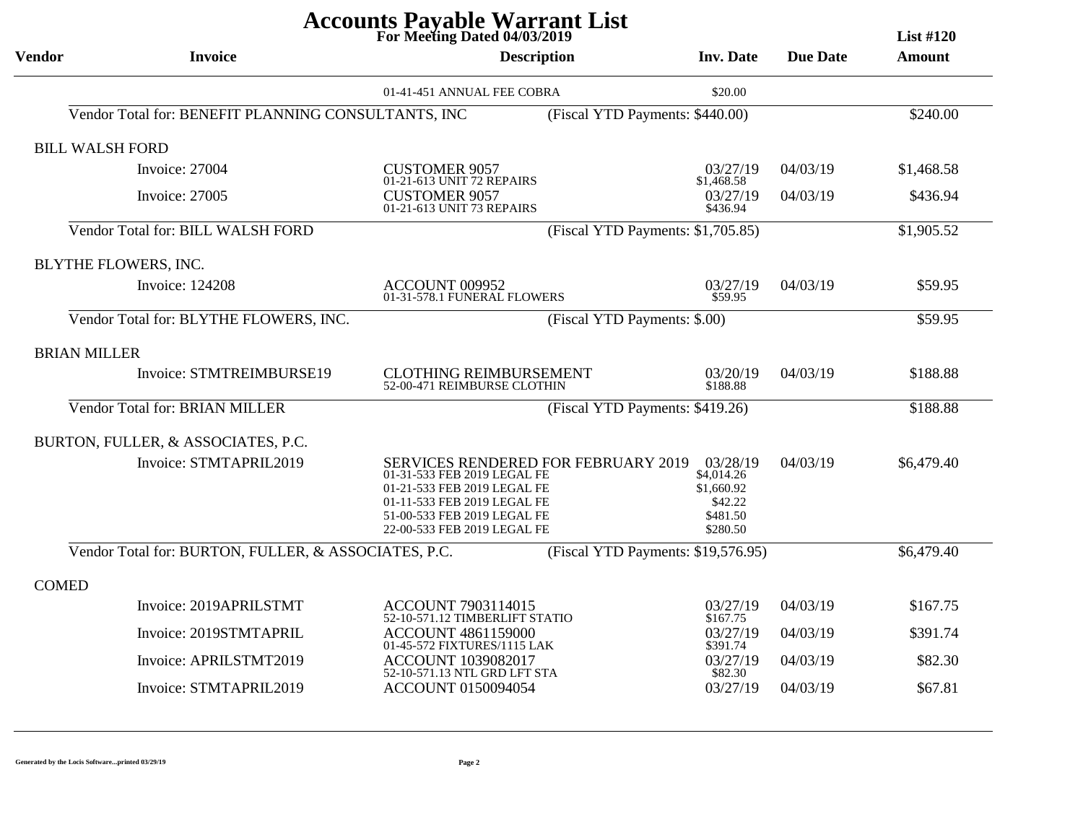| For Meeting Dated 04/03/2019<br>List $#120$ |                                                      |                                                                                                                                                                                                |                              |                                                                         |                 |               |  |
|---------------------------------------------|------------------------------------------------------|------------------------------------------------------------------------------------------------------------------------------------------------------------------------------------------------|------------------------------|-------------------------------------------------------------------------|-----------------|---------------|--|
| <b>Vendor</b>                               | <b>Invoice</b>                                       |                                                                                                                                                                                                | <b>Description</b>           | <b>Inv. Date</b>                                                        | <b>Due Date</b> | <b>Amount</b> |  |
|                                             |                                                      | 01-41-451 ANNUAL FEE COBRA                                                                                                                                                                     |                              | \$20.00                                                                 |                 |               |  |
|                                             | Vendor Total for: BENEFIT PLANNING CONSULTANTS, INC  |                                                                                                                                                                                                |                              | (Fiscal YTD Payments: \$440.00)                                         |                 | \$240.00      |  |
|                                             | <b>BILL WALSH FORD</b>                               |                                                                                                                                                                                                |                              |                                                                         |                 |               |  |
|                                             | Invoice: 27004                                       | CUSTOMER 9057<br>01-21-613 UNIT 72 REPAIRS                                                                                                                                                     |                              | 03/27/19<br>\$1,468.58                                                  | 04/03/19        | \$1,468.58    |  |
|                                             | Invoice: 27005                                       | <b>CUSTOMER 9057</b><br>01-21-613 UNIT 73 REPAIRS                                                                                                                                              |                              | 03/27/19<br>\$436.94                                                    | 04/03/19        | \$436.94      |  |
|                                             | Vendor Total for: BILL WALSH FORD                    |                                                                                                                                                                                                |                              | (Fiscal YTD Payments: \$1,705.85)                                       |                 | \$1,905.52    |  |
|                                             | BLYTHE FLOWERS, INC.                                 |                                                                                                                                                                                                |                              |                                                                         |                 |               |  |
|                                             | <b>Invoice: 124208</b>                               | ACCOUNT 009952<br>01-31-578.1 FUNERAL FLOWERS                                                                                                                                                  |                              | 03/27/19<br>\$59.95                                                     | 04/03/19        | \$59.95       |  |
|                                             | Vendor Total for: BLYTHE FLOWERS, INC.               |                                                                                                                                                                                                | (Fiscal YTD Payments: \$.00) |                                                                         |                 | \$59.95       |  |
| <b>BRIAN MILLER</b>                         |                                                      |                                                                                                                                                                                                |                              |                                                                         |                 |               |  |
|                                             | Invoice: STMTREIMBURSE19                             | <b>CLOTHING REIMBURSEMENT</b><br>52-00-471 REIMBURSE CLOTHIN                                                                                                                                   |                              | 03/20/19<br>\$188.88                                                    | 04/03/19        | \$188.88      |  |
|                                             | Vendor Total for: BRIAN MILLER                       |                                                                                                                                                                                                |                              | (Fiscal YTD Payments: \$419.26)                                         |                 | \$188.88      |  |
|                                             | BURTON, FULLER, & ASSOCIATES, P.C.                   |                                                                                                                                                                                                |                              |                                                                         |                 |               |  |
|                                             | Invoice: STMTAPRIL2019                               | SERVICES RENDERED FOR FEBRUARY 2019<br>01-31-533 FEB 2019 LEGAL FE<br>01-21-533 FEB 2019 LEGAL FE<br>01-11-533 FEB 2019 LEGAL FE<br>51-00-533 FEB 2019 LEGAL FE<br>22-00-533 FEB 2019 LEGAL FE |                              | 03/28/19<br>\$4,014.26<br>\$1,660.92<br>\$42.22<br>\$481.50<br>\$280.50 | 04/03/19        | \$6,479.40    |  |
|                                             | Vendor Total for: BURTON, FULLER, & ASSOCIATES, P.C. |                                                                                                                                                                                                |                              | (Fiscal YTD Payments: \$19,576.95)                                      |                 | \$6,479.40    |  |
| <b>COMED</b>                                |                                                      |                                                                                                                                                                                                |                              |                                                                         |                 |               |  |
|                                             | Invoice: 2019APRILSTMT                               | ACCOUNT 7903114015<br>52-10-571.12 TIMBERLIFT STATIO                                                                                                                                           |                              | 03/27/19<br>\$167.75                                                    | 04/03/19        | \$167.75      |  |
|                                             | Invoice: 2019STMTAPRIL                               | <b>ACCOUNT 4861159000</b><br>01-45-572 FIXTURES/1115 LAK                                                                                                                                       |                              | 03/27/19<br>\$391.74                                                    | 04/03/19        | \$391.74      |  |
|                                             | Invoice: APRILSTMT2019                               | <b>ACCOUNT 1039082017</b><br>52-10-571.13 NTL GRD LFT STA                                                                                                                                      |                              | 03/27/19<br>\$82.30                                                     | 04/03/19        | \$82.30       |  |
|                                             | Invoice: STMTAPRIL2019                               | <b>ACCOUNT 0150094054</b>                                                                                                                                                                      |                              | 03/27/19                                                                | 04/03/19        | \$67.81       |  |
|                                             |                                                      |                                                                                                                                                                                                |                              |                                                                         |                 |               |  |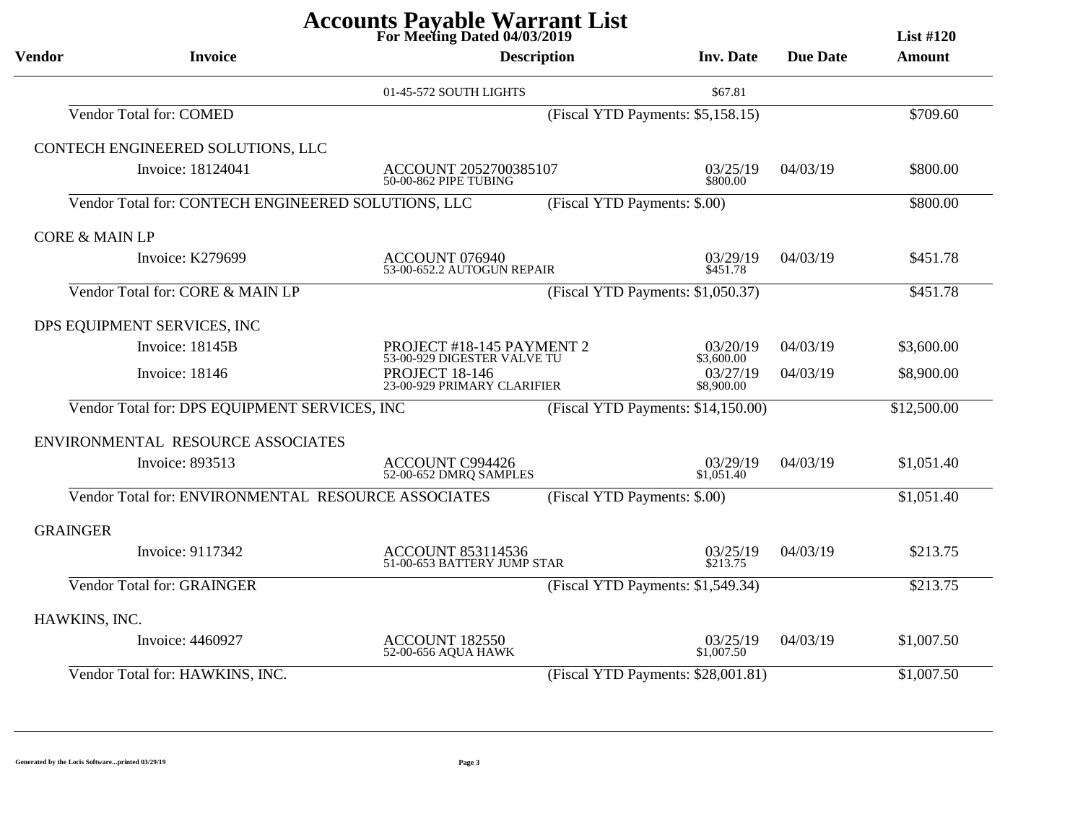| For Meeting Dated 04/03/2019<br>List $#120$ |                                                     |                                                          |                              |                                    |                 |               |  |
|---------------------------------------------|-----------------------------------------------------|----------------------------------------------------------|------------------------------|------------------------------------|-----------------|---------------|--|
| <b>Vendor</b>                               | <b>Invoice</b>                                      |                                                          | <b>Description</b>           | <b>Inv. Date</b>                   | <b>Due Date</b> | <b>Amount</b> |  |
|                                             |                                                     | 01-45-572 SOUTH LIGHTS                                   |                              | \$67.81                            |                 |               |  |
|                                             | Vendor Total for: COMED                             |                                                          |                              | (Fiscal YTD Payments: \$5,158.15)  |                 | \$709.60      |  |
|                                             | CONTECH ENGINEERED SOLUTIONS, LLC                   |                                                          |                              |                                    |                 |               |  |
|                                             | Invoice: 18124041                                   | ACCOUNT 2052700385107<br>50-00-862 PIPE TUBING           |                              | 03/25/19<br>\$800.00               | 04/03/19        | \$800.00      |  |
|                                             | Vendor Total for: CONTECH ENGINEERED SOLUTIONS, LLC |                                                          | (Fiscal YTD Payments: \$.00) |                                    |                 | \$800.00      |  |
| <b>CORE &amp; MAIN LP</b>                   |                                                     |                                                          |                              |                                    |                 |               |  |
|                                             | Invoice: K279699                                    | ACCOUNT 076940<br>53-00-652.2 AUTOGUN REPAIR             |                              | 03/29/19<br>\$451.78               | 04/03/19        | \$451.78      |  |
|                                             | Vendor Total for: CORE & MAIN LP                    |                                                          |                              | (Fiscal YTD Payments: \$1,050.37)  |                 | \$451.78      |  |
|                                             | DPS EQUIPMENT SERVICES, INC                         |                                                          |                              |                                    |                 |               |  |
|                                             | Invoice: 18145B                                     | PROJECT #18-145 PAYMENT 2<br>53-00-929 DIGESTER VALVE TU |                              | 03/20/19<br>\$3,600.00             | 04/03/19        | \$3,600.00    |  |
|                                             | <b>Invoice: 18146</b>                               | <b>PROJECT 18-146</b><br>23-00-929 PRIMARY CLARIFIER     |                              | 03/27/19<br>\$8,900.00             | 04/03/19        | \$8,900.00    |  |
|                                             | Vendor Total for: DPS EQUIPMENT SERVICES, INC       |                                                          |                              | (Fiscal YTD Payments: \$14,150.00) |                 | \$12,500.00   |  |
|                                             | ENVIRONMENTAL RESOURCE ASSOCIATES                   |                                                          |                              |                                    |                 |               |  |
|                                             | Invoice: 893513                                     | ACCOUNT C994426<br>52-00-652 DMRQ SAMPLES                |                              | 03/29/19<br>\$1,051.40             | 04/03/19        | \$1,051.40    |  |
|                                             | Vendor Total for: ENVIRONMENTAL RESOURCE ASSOCIATES |                                                          | (Fiscal YTD Payments: \$.00) |                                    |                 | \$1,051.40    |  |
| <b>GRAINGER</b>                             |                                                     |                                                          |                              |                                    |                 |               |  |
|                                             | Invoice: 9117342                                    | <b>ACCOUNT 853114536</b><br>51-00-653 BATTERY JUMP STAR  |                              | 03/25/19<br>\$213.75               | 04/03/19        | \$213.75      |  |
|                                             | <b>Vendor Total for: GRAINGER</b>                   |                                                          |                              | (Fiscal YTD Payments: \$1,549.34)  |                 | \$213.75      |  |
| HAWKINS, INC.                               |                                                     |                                                          |                              |                                    |                 |               |  |
|                                             | Invoice: 4460927                                    | ACCOUNT 182550<br>52-00-656 AQUA HAWK                    |                              | 03/25/19<br>\$1,007.50             | 04/03/19        | \$1,007.50    |  |
|                                             | Vendor Total for: HAWKINS, INC.                     |                                                          |                              | (Fiscal YTD Payments: \$28,001.81) |                 | \$1,007.50    |  |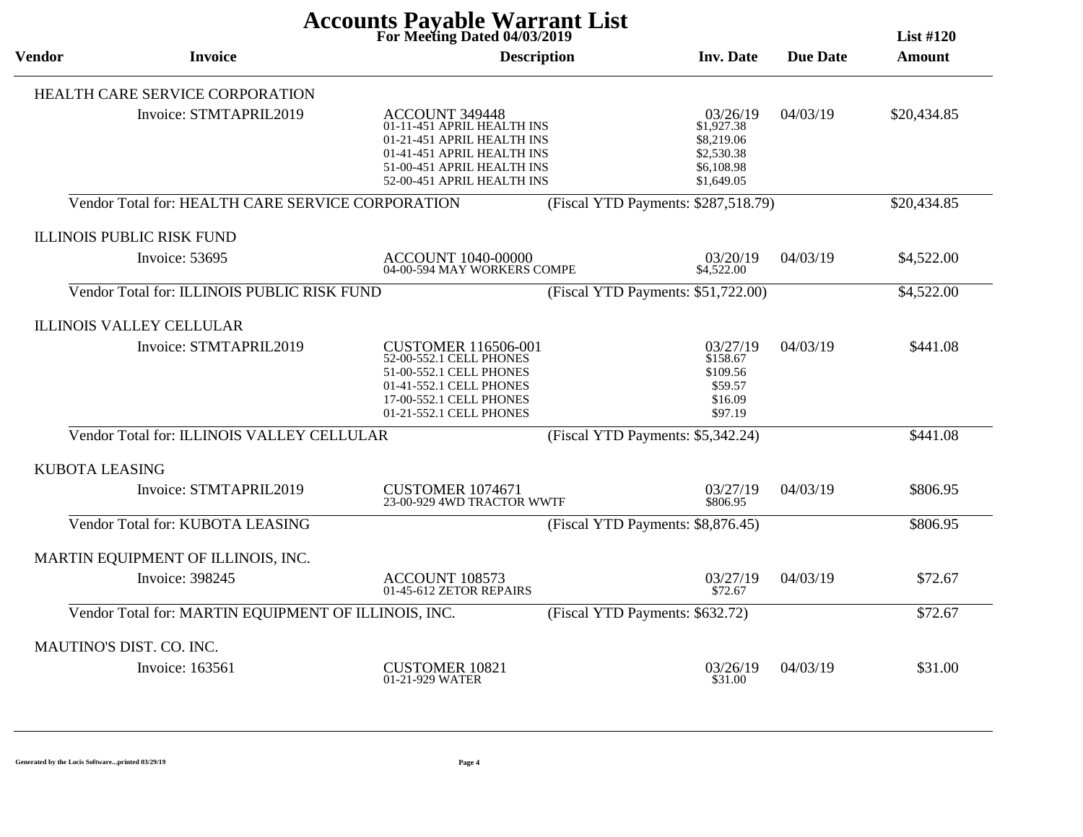| <b>Accounts Payable Warrant List</b><br>For Meeting Dated 04/03/2019<br><b>List #120</b> |                                                      |                                                                                                                                                                      |                    |                                                                                |                 |             |
|------------------------------------------------------------------------------------------|------------------------------------------------------|----------------------------------------------------------------------------------------------------------------------------------------------------------------------|--------------------|--------------------------------------------------------------------------------|-----------------|-------------|
| <b>Vendor</b>                                                                            | <b>Invoice</b>                                       |                                                                                                                                                                      | <b>Description</b> | <b>Inv. Date</b>                                                               | <b>Due Date</b> | Amount      |
|                                                                                          | HEALTH CARE SERVICE CORPORATION                      |                                                                                                                                                                      |                    |                                                                                |                 |             |
|                                                                                          | Invoice: STMTAPRIL2019                               | ACCOUNT 349448<br>01-11-451 APRIL HEALTH INS<br>01-21-451 APRIL HEALTH INS<br>01-41-451 APRIL HEALTH INS<br>51-00-451 APRIL HEALTH INS<br>52-00-451 APRIL HEALTH INS |                    | 03/26/19<br>\$1,927.38<br>\$8,219.06<br>\$2,530.38<br>\$6,108.98<br>\$1,649.05 | 04/03/19        | \$20,434.85 |
|                                                                                          | Vendor Total for: HEALTH CARE SERVICE CORPORATION    |                                                                                                                                                                      |                    | (Fiscal YTD Payments: \$287,518.79)                                            |                 | \$20,434.85 |
|                                                                                          | <b>ILLINOIS PUBLIC RISK FUND</b>                     |                                                                                                                                                                      |                    |                                                                                |                 |             |
|                                                                                          | Invoice: 53695                                       | ACCOUNT 1040-00000<br>04-00-594 MAY WORKERS COMPE                                                                                                                    |                    | 03/20/19<br>\$4,522.00                                                         | 04/03/19        | \$4,522.00  |
|                                                                                          | Vendor Total for: ILLINOIS PUBLIC RISK FUND          |                                                                                                                                                                      |                    | (Fiscal YTD Payments: \$51,722.00)                                             |                 | \$4,522.00  |
|                                                                                          | <b>ILLINOIS VALLEY CELLULAR</b>                      |                                                                                                                                                                      |                    |                                                                                |                 |             |
|                                                                                          | Invoice: STMTAPRIL2019                               | <b>CUSTOMER 116506-001</b><br>52-00-552.1 CELL PHONES<br>51-00-552.1 CELL PHONES<br>01-41-552.1 CELL PHONES<br>17-00-552.1 CELL PHONES<br>01-21-552.1 CELL PHONES    |                    | 03/27/19<br>\$158.67<br>\$109.56<br>\$59.57<br>\$16.09<br>\$97.19              | 04/03/19        | \$441.08    |
|                                                                                          | Vendor Total for: ILLINOIS VALLEY CELLULAR           |                                                                                                                                                                      |                    | (Fiscal YTD Payments: \$5,342.24)                                              |                 | \$441.08    |
| <b>KUBOTA LEASING</b>                                                                    |                                                      |                                                                                                                                                                      |                    |                                                                                |                 |             |
|                                                                                          | Invoice: STMTAPRIL2019                               | <b>CUSTOMER 1074671</b><br>23-00-929 4WD TRACTOR WWTF                                                                                                                |                    | 03/27/19<br>\$806.95                                                           | 04/03/19        | \$806.95    |
|                                                                                          | Vendor Total for: KUBOTA LEASING                     |                                                                                                                                                                      |                    | (Fiscal YTD Payments: \$8,876.45)                                              |                 | \$806.95    |
|                                                                                          | MARTIN EQUIPMENT OF ILLINOIS, INC.                   |                                                                                                                                                                      |                    |                                                                                |                 |             |
|                                                                                          | <b>Invoice: 398245</b>                               | ACCOUNT 108573<br>01-45-612 ZETOR REPAIRS                                                                                                                            |                    | 03/27/19<br>\$72.67                                                            | 04/03/19        | \$72.67     |
|                                                                                          | Vendor Total for: MARTIN EQUIPMENT OF ILLINOIS, INC. |                                                                                                                                                                      |                    | (Fiscal YTD Payments: \$632.72)                                                |                 | \$72.67     |
|                                                                                          | MAUTINO'S DIST. CO. INC.                             |                                                                                                                                                                      |                    |                                                                                |                 |             |
|                                                                                          | Invoice: 163561                                      | <b>CUSTOMER 10821</b><br>01-21-929 WATER                                                                                                                             |                    | 03/26/19<br>\$31.00                                                            | 04/03/19        | \$31.00     |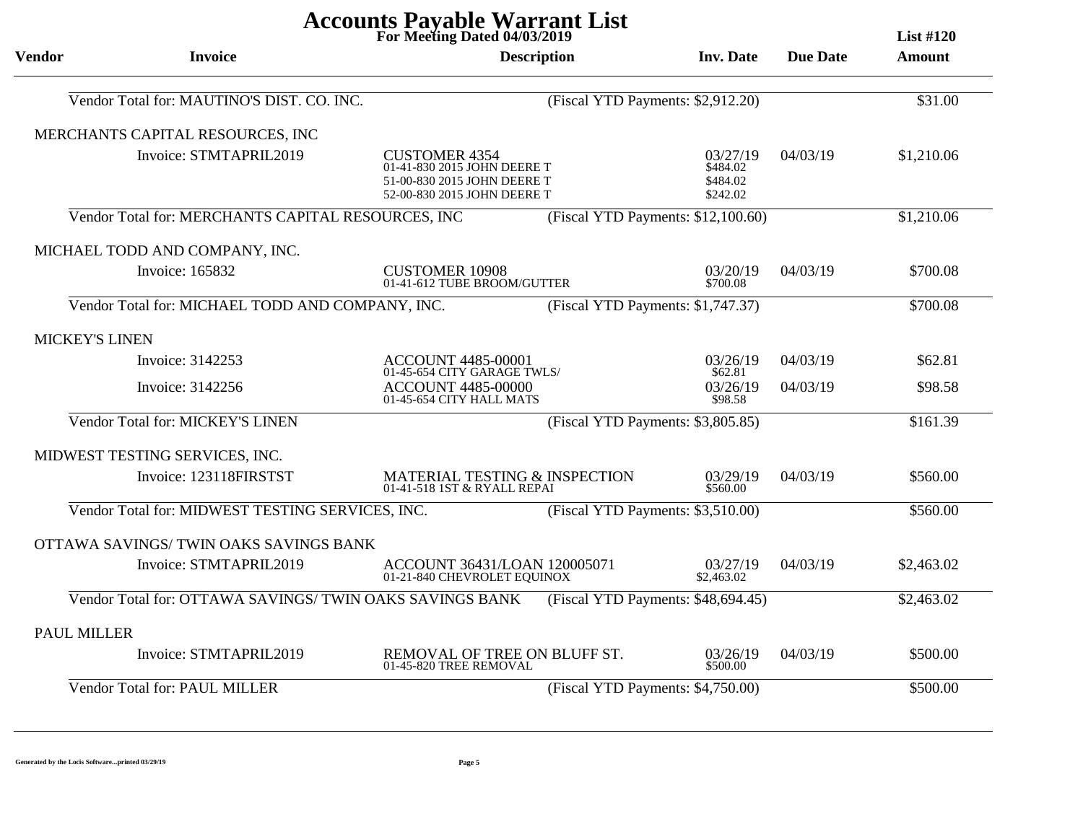| <b>Accounts Payable Warrant List</b><br>For Meeting Dated 04/03/2019<br><b>List #120</b> |                                                          |                                                                                                                   |                                    |                                              |                 |               |
|------------------------------------------------------------------------------------------|----------------------------------------------------------|-------------------------------------------------------------------------------------------------------------------|------------------------------------|----------------------------------------------|-----------------|---------------|
| <b>Vendor</b>                                                                            | <b>Invoice</b>                                           |                                                                                                                   | <b>Description</b>                 | <b>Inv. Date</b>                             | <b>Due Date</b> | <b>Amount</b> |
|                                                                                          | Vendor Total for: MAUTINO'S DIST. CO. INC.               |                                                                                                                   | (Fiscal YTD Payments: \$2,912.20)  |                                              |                 | \$31.00       |
|                                                                                          | MERCHANTS CAPITAL RESOURCES, INC                         |                                                                                                                   |                                    |                                              |                 |               |
|                                                                                          | Invoice: STMTAPRIL2019                                   | <b>CUSTOMER 4354</b><br>01-41-830 2015 JOHN DEERE T<br>51-00-830 2015 JOHN DEERE T<br>52-00-830 2015 JOHN DEERE T |                                    | 03/27/19<br>\$484.02<br>\$484.02<br>\$242.02 | 04/03/19        | \$1,210.06    |
|                                                                                          | Vendor Total for: MERCHANTS CAPITAL RESOURCES, INC       |                                                                                                                   | (Fiscal YTD Payments: \$12,100.60) |                                              |                 | \$1,210.06    |
|                                                                                          | MICHAEL TODD AND COMPANY, INC.                           |                                                                                                                   |                                    |                                              |                 |               |
|                                                                                          | Invoice: 165832                                          | <b>CUSTOMER 10908</b><br>01-41-612 TUBE BROOM/GUTTER                                                              |                                    | 03/20/19<br>\$700.08                         | 04/03/19        | \$700.08      |
|                                                                                          | Vendor Total for: MICHAEL TODD AND COMPANY, INC.         |                                                                                                                   | (Fiscal YTD Payments: \$1,747.37)  |                                              |                 | \$700.08      |
| <b>MICKEY'S LINEN</b>                                                                    |                                                          |                                                                                                                   |                                    |                                              |                 |               |
|                                                                                          | Invoice: 3142253                                         | <b>ACCOUNT 4485-00001</b><br>01-45-654 CITY GARAGE TWLS/                                                          |                                    | 03/26/19<br>\$62.81                          | 04/03/19        | \$62.81       |
|                                                                                          | Invoice: 3142256                                         | <b>ACCOUNT 4485-00000</b><br>01-45-654 CITY HALL MATS                                                             |                                    | 03/26/19<br>\$98.58                          | 04/03/19        | \$98.58       |
|                                                                                          | Vendor Total for: MICKEY'S LINEN                         |                                                                                                                   | (Fiscal YTD Payments: \$3,805.85)  |                                              |                 | \$161.39      |
|                                                                                          | MIDWEST TESTING SERVICES, INC.                           |                                                                                                                   |                                    |                                              |                 |               |
|                                                                                          | Invoice: 123118FIRSTST                                   | <b>MATERIAL TESTING &amp; INSPECTION</b><br>01-41-518 1ST & RYALL REPAI                                           |                                    | 03/29/19<br>\$560.00                         | 04/03/19        | \$560.00      |
|                                                                                          | Vendor Total for: MIDWEST TESTING SERVICES, INC.         |                                                                                                                   | (Fiscal YTD Payments: \$3,510.00)  |                                              |                 | \$560.00      |
|                                                                                          | OTTAWA SAVINGS/TWIN OAKS SAVINGS BANK                    |                                                                                                                   |                                    |                                              |                 |               |
|                                                                                          | Invoice: STMTAPRIL2019                                   | ACCOUNT 36431/LOAN 120005071<br>01-21-840 CHEVROLET EQUINOX                                                       |                                    | 03/27/19<br>\$2,463.02                       | 04/03/19        | \$2,463.02    |
|                                                                                          | Vendor Total for: OTTAWA SAVINGS/ TWIN OAKS SAVINGS BANK |                                                                                                                   | (Fiscal YTD Payments: \$48,694.45) |                                              |                 | \$2,463.02    |
| <b>PAUL MILLER</b>                                                                       |                                                          |                                                                                                                   |                                    |                                              |                 |               |
|                                                                                          | Invoice: STMTAPRIL2019                                   | REMOVAL OF TREE ON BLUFF ST.<br>01-45-820 TREE REMOVAL                                                            |                                    | 03/26/19<br>\$500.00                         | 04/03/19        | \$500.00      |
|                                                                                          | Vendor Total for: PAUL MILLER                            |                                                                                                                   | (Fiscal YTD Payments: \$4,750.00)  |                                              |                 | \$500.00      |

 **Generated by the Locis Software...printed 03/29/19**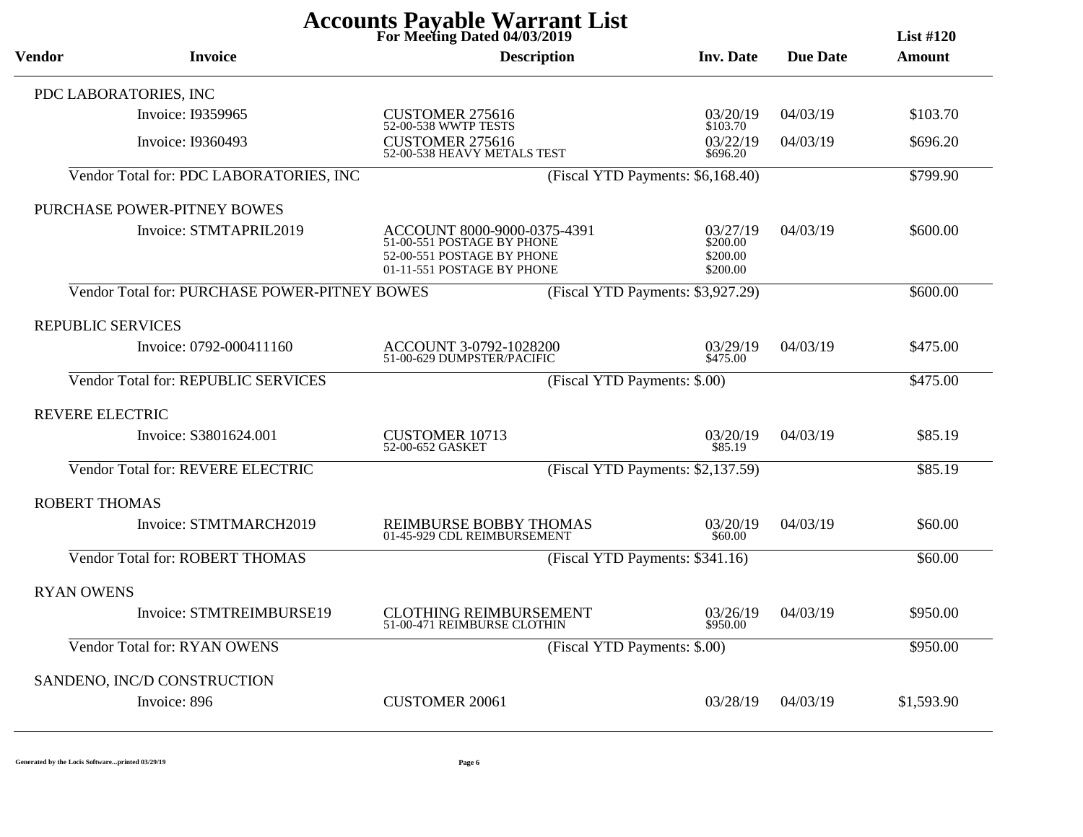| <b>Accounts Payable Warrant List</b><br>For Meeting Dated 04/03/2019<br><b>List #120</b> |                                               |                                                                                                                       |                                              |                 |            |  |  |
|------------------------------------------------------------------------------------------|-----------------------------------------------|-----------------------------------------------------------------------------------------------------------------------|----------------------------------------------|-----------------|------------|--|--|
| Vendor                                                                                   | <b>Invoice</b>                                | <b>Description</b>                                                                                                    | <b>Inv. Date</b>                             | <b>Due Date</b> | Amount     |  |  |
|                                                                                          | PDC LABORATORIES, INC                         |                                                                                                                       |                                              |                 |            |  |  |
|                                                                                          | Invoice: I9359965                             | <b>CUSTOMER 275616</b><br>52-00-538 WWTP TESTS                                                                        | 03/20/19<br>\$103.70                         | 04/03/19        | \$103.70   |  |  |
|                                                                                          | Invoice: I9360493                             | <b>CUSTOMER 275616</b><br>52-00-538 HEAVY METALS TEST                                                                 | 03/22/19<br>\$696.20                         | 04/03/19        | \$696.20   |  |  |
|                                                                                          | Vendor Total for: PDC LABORATORIES, INC       |                                                                                                                       | (Fiscal YTD Payments: \$6,168.40)            |                 | \$799.90   |  |  |
|                                                                                          | PURCHASE POWER-PITNEY BOWES                   |                                                                                                                       |                                              |                 |            |  |  |
|                                                                                          | Invoice: STMTAPRIL2019                        | ACCOUNT 8000-9000-0375-4391<br>51-00-551 POSTAGE BY PHONE<br>52-00-551 POSTAGE BY PHONE<br>01-11-551 POSTAGE BY PHONE | 03/27/19<br>\$200.00<br>\$200.00<br>\$200.00 | 04/03/19        | \$600.00   |  |  |
|                                                                                          | Vendor Total for: PURCHASE POWER-PITNEY BOWES |                                                                                                                       | (Fiscal YTD Payments: \$3,927.29)            |                 | \$600.00   |  |  |
| REPUBLIC SERVICES                                                                        |                                               |                                                                                                                       |                                              |                 |            |  |  |
|                                                                                          | Invoice: 0792-000411160                       | ACCOUNT 3-0792-1028200<br>51-00-629 DUMPSTER/PACIFIC                                                                  | 03/29/19<br>\$475.00                         | 04/03/19        | \$475.00   |  |  |
|                                                                                          | <b>Vendor Total for: REPUBLIC SERVICES</b>    |                                                                                                                       | (Fiscal YTD Payments: \$.00)                 |                 | \$475.00   |  |  |
| <b>REVERE ELECTRIC</b>                                                                   |                                               |                                                                                                                       |                                              |                 |            |  |  |
|                                                                                          | Invoice: S3801624.001                         | <b>CUSTOMER 10713</b><br>52-00-652 GASKET                                                                             | 03/20/19<br>\$85.19                          | 04/03/19        | \$85.19    |  |  |
|                                                                                          | Vendor Total for: REVERE ELECTRIC             |                                                                                                                       | (Fiscal YTD Payments: \$2,137.59)            |                 | \$85.19    |  |  |
| <b>ROBERT THOMAS</b>                                                                     |                                               |                                                                                                                       |                                              |                 |            |  |  |
|                                                                                          | Invoice: STMTMARCH2019                        | REIMBURSE BOBBY THOMAS<br>01-45-929 CDL REIMBURSEMENT                                                                 | 03/20/19<br>\$60.00                          | 04/03/19        | \$60.00    |  |  |
|                                                                                          | Vendor Total for: ROBERT THOMAS               |                                                                                                                       | (Fiscal YTD Payments: \$341.16)              |                 | \$60.00    |  |  |
| <b>RYAN OWENS</b>                                                                        |                                               |                                                                                                                       |                                              |                 |            |  |  |
|                                                                                          | Invoice: STMTREIMBURSE19                      | <b>CLOTHING REIMBURSEMENT</b><br>51-00-471 REIMBURSE CLOTHIN                                                          | 03/26/19<br>\$950.00                         | 04/03/19        | \$950.00   |  |  |
|                                                                                          | Vendor Total for: RYAN OWENS                  |                                                                                                                       | (Fiscal YTD Payments: \$.00)                 |                 | \$950.00   |  |  |
|                                                                                          | SANDENO, INC/D CONSTRUCTION                   |                                                                                                                       |                                              |                 |            |  |  |
|                                                                                          | Invoice: 896                                  | <b>CUSTOMER 20061</b>                                                                                                 | 03/28/19                                     | 04/03/19        | \$1,593.90 |  |  |

 $\overline{\phantom{0}}$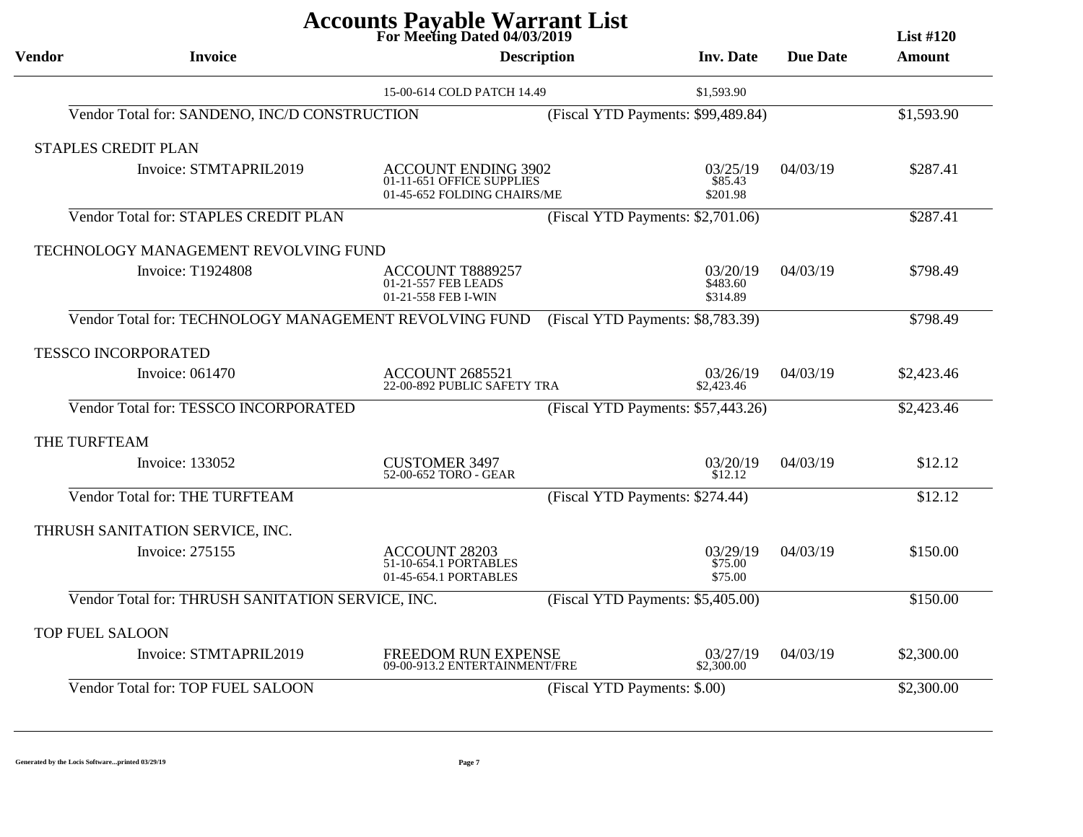|                        |                                                        | For Meeting Dated 04/03/2019                                                           |                                    |                 | List $#120$ |
|------------------------|--------------------------------------------------------|----------------------------------------------------------------------------------------|------------------------------------|-----------------|-------------|
| <b>Vendor</b>          | <b>Invoice</b>                                         | <b>Description</b>                                                                     | <b>Inv.</b> Date                   | <b>Due Date</b> | Amount      |
|                        |                                                        | 15-00-614 COLD PATCH 14.49                                                             | \$1,593.90                         |                 |             |
|                        | Vendor Total for: SANDENO, INC/D CONSTRUCTION          |                                                                                        | (Fiscal YTD Payments: \$99,489.84) |                 | \$1,593.90  |
|                        | <b>STAPLES CREDIT PLAN</b>                             |                                                                                        |                                    |                 |             |
|                        | Invoice: STMTAPRIL2019                                 | <b>ACCOUNT ENDING 3902</b><br>01-11-651 OFFICE SUPPLIES<br>01-45-652 FOLDING CHAIRS/ME | 03/25/19<br>\$85.43<br>\$201.98    | 04/03/19        | \$287.41    |
|                        | Vendor Total for: STAPLES CREDIT PLAN                  |                                                                                        | (Fiscal YTD Payments: \$2,701.06)  |                 | \$287.41    |
|                        | TECHNOLOGY MANAGEMENT REVOLVING FUND                   |                                                                                        |                                    |                 |             |
|                        | <b>Invoice: T1924808</b>                               | ACCOUNT T8889257<br>01-21-557 FEB LEADS<br>01-21-558 FEB I-WIN                         | 03/20/19<br>\$483.60<br>\$314.89   | 04/03/19        | \$798.49    |
|                        | Vendor Total for: TECHNOLOGY MANAGEMENT REVOLVING FUND |                                                                                        | (Fiscal YTD Payments: \$8,783.39)  |                 | \$798.49    |
|                        | <b>TESSCO INCORPORATED</b>                             |                                                                                        |                                    |                 |             |
|                        | Invoice: 061470                                        | <b>ACCOUNT 2685521</b><br>22-00-892 PUBLIC SAFETY TRA                                  | 03/26/19<br>\$2,423.46             | 04/03/19        | \$2,423.46  |
|                        | Vendor Total for: TESSCO INCORPORATED                  |                                                                                        | (Fiscal YTD Payments: \$57,443.26) |                 | \$2,423.46  |
| THE TURFTEAM           |                                                        |                                                                                        |                                    |                 |             |
|                        | Invoice: 133052                                        | <b>CUSTOMER 3497</b><br>52-00-652 TORO - GEAR                                          | 03/20/19<br>\$12.12                | 04/03/19        | \$12.12     |
|                        | Vendor Total for: THE TURFTEAM                         |                                                                                        | (Fiscal YTD Payments: \$274.44)    |                 | \$12.12     |
|                        | THRUSH SANITATION SERVICE, INC.                        |                                                                                        |                                    |                 |             |
|                        | Invoice: 275155                                        | <b>ACCOUNT 28203</b><br>51-10-654.1 PORTABLES<br>01-45-654.1 PORTABLES                 | 03/29/19<br>\$75.00<br>\$75.00     | 04/03/19        | \$150.00    |
|                        | Vendor Total for: THRUSH SANITATION SERVICE, INC.      |                                                                                        | (Fiscal YTD Payments: \$5,405.00)  |                 | \$150.00    |
| <b>TOP FUEL SALOON</b> |                                                        |                                                                                        |                                    |                 |             |
|                        | Invoice: STMTAPRIL2019                                 | FREEDOM RUN EXPENSE<br>09-00-913.2 ENTERTAINMENT/FRE                                   | 03/27/19<br>\$2,300.00             | 04/03/19        | \$2,300.00  |
|                        | Vendor Total for: TOP FUEL SALOON                      |                                                                                        | (Fiscal YTD Payments: \$.00)       |                 | \$2,300.00  |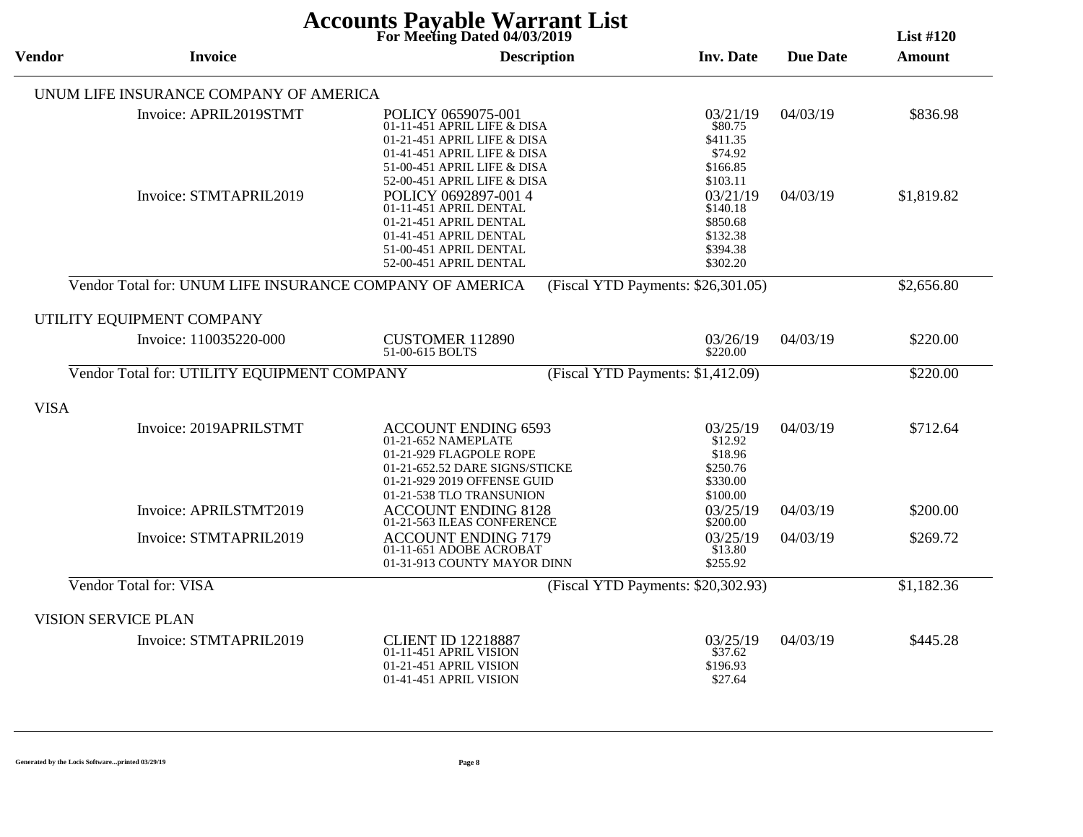| <b>Accounts Payable Warrant List</b><br>For Meeting Dated 04/03/2019<br><b>List #120</b> |                                                          |                                                                                                                                                                               |                                                                      |                 |               |  |
|------------------------------------------------------------------------------------------|----------------------------------------------------------|-------------------------------------------------------------------------------------------------------------------------------------------------------------------------------|----------------------------------------------------------------------|-----------------|---------------|--|
| <b>Vendor</b><br><b>Invoice</b>                                                          |                                                          | <b>Description</b>                                                                                                                                                            | <b>Inv. Date</b>                                                     | <b>Due Date</b> | <b>Amount</b> |  |
|                                                                                          | UNUM LIFE INSURANCE COMPANY OF AMERICA                   |                                                                                                                                                                               |                                                                      |                 |               |  |
|                                                                                          | Invoice: APRIL2019STMT                                   | POLICY 0659075-001<br>01-11-451 APRIL LIFE & DISA<br>01-21-451 APRIL LIFE & DISA<br>01-41-451 APRIL LIFE & DISA<br>51-00-451 APRIL LIFE & DISA<br>52-00-451 APRIL LIFE & DISA | 03/21/19<br>\$80.75<br>\$411.35<br>\$74.92<br>\$166.85<br>\$103.11   | 04/03/19        | \$836.98      |  |
|                                                                                          | Invoice: STMTAPRIL2019                                   | POLICY 0692897-001 4<br>01-11-451 APRIL DENTAL<br>01-21-451 APRIL DENTAL<br>01-41-451 APRIL DENTAL<br>51-00-451 APRIL DENTAL<br>52-00-451 APRIL DENTAL                        | 03/21/19<br>\$140.18<br>\$850.68<br>\$132.38<br>\$394.38<br>\$302.20 | 04/03/19        | \$1,819.82    |  |
|                                                                                          | Vendor Total for: UNUM LIFE INSURANCE COMPANY OF AMERICA |                                                                                                                                                                               | (Fiscal YTD Payments: \$26,301.05)                                   |                 | \$2,656.80    |  |
|                                                                                          | UTILITY EQUIPMENT COMPANY                                |                                                                                                                                                                               |                                                                      |                 |               |  |
|                                                                                          | Invoice: 110035220-000                                   | <b>CUSTOMER 112890</b><br>51-00-615 BOLTS                                                                                                                                     | 03/26/19<br>\$220.00                                                 | 04/03/19        | \$220.00      |  |
|                                                                                          | Vendor Total for: UTILITY EQUIPMENT COMPANY              |                                                                                                                                                                               | (Fiscal YTD Payments: \$1,412.09)                                    |                 | \$220.00      |  |
| <b>VISA</b>                                                                              |                                                          |                                                                                                                                                                               |                                                                      |                 |               |  |
|                                                                                          | Invoice: 2019APRILSTMT                                   | <b>ACCOUNT ENDING 6593</b><br>01-21-652 NAMEPLATE<br>01-21-929 FLAGPOLE ROPE<br>01-21-652.52 DARE SIGNS/STICKE<br>01-21-929 2019 OFFENSE GUID<br>01-21-538 TLO TRANSUNION     | 03/25/19<br>\$12.92<br>\$18.96<br>\$250.76<br>\$330.00<br>\$100.00   | 04/03/19        | \$712.64      |  |
|                                                                                          | Invoice: APRILSTMT2019                                   | <b>ACCOUNT ENDING 8128</b><br>01-21-563 ILEAS CONFERENCE                                                                                                                      | 03/25/19<br>\$200.00                                                 | 04/03/19        | \$200.00      |  |
|                                                                                          | Invoice: STMTAPRIL2019                                   | <b>ACCOUNT ENDING 7179</b><br>01-11-651 ADOBE ACROBAT<br>01-31-913 COUNTY MAYOR DINN                                                                                          | 03/25/19<br>\$13.80<br>\$255.92                                      | 04/03/19        | \$269.72      |  |
|                                                                                          | Vendor Total for: VISA                                   |                                                                                                                                                                               | (Fiscal YTD Payments: \$20,302.93)                                   |                 | \$1,182.36    |  |
|                                                                                          | <b>VISION SERVICE PLAN</b>                               |                                                                                                                                                                               |                                                                      |                 |               |  |
|                                                                                          | Invoice: STMTAPRIL2019                                   | <b>CLIENT ID 12218887</b><br>01-11-451 APRIL VISION<br>01-21-451 APRIL VISION<br>01-41-451 APRIL VISION                                                                       | 03/25/19<br>\$37.62<br>\$196.93<br>\$27.64                           | 04/03/19        | \$445.28      |  |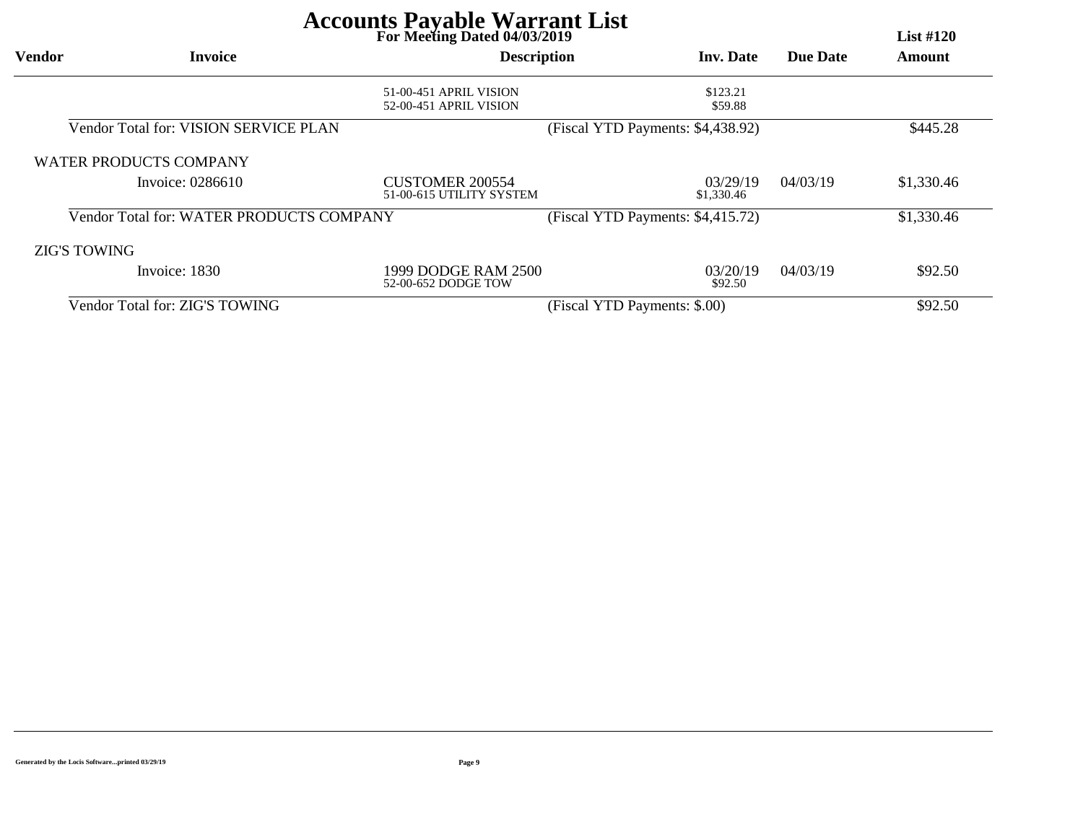| For Meeting Dated 04/03/2019 |                                          |                                                    |                                   |          |            |  |
|------------------------------|------------------------------------------|----------------------------------------------------|-----------------------------------|----------|------------|--|
| <b>Vendor</b>                | <b>Invoice</b>                           | <b>Description</b>                                 | <b>Inv.</b> Date                  | Due Date | Amount     |  |
|                              |                                          | 51-00-451 APRIL VISION                             | \$123.21                          |          |            |  |
|                              |                                          | 52-00-451 APRIL VISION                             | \$59.88                           |          |            |  |
|                              | Vendor Total for: VISION SERVICE PLAN    |                                                    | (Fiscal YTD Payments: \$4,438.92) |          | \$445.28   |  |
|                              | <b>WATER PRODUCTS COMPANY</b>            |                                                    |                                   |          |            |  |
|                              | Invoice: 0286610                         | <b>CUSTOMER 200554</b><br>51-00-615 UTILITY SYSTEM | 03/29/19<br>\$1,330.46            | 04/03/19 | \$1,330.46 |  |
|                              | Vendor Total for: WATER PRODUCTS COMPANY |                                                    | (Fiscal YTD Payments: \$4,415.72) |          | \$1,330.46 |  |
| <b>ZIG'S TOWING</b>          |                                          |                                                    |                                   |          |            |  |
|                              | Invoice: 1830                            | 1999 DODGE RAM 2500<br>52-00-652 DODGE TOW         | 03/20/19<br>\$92.50               | 04/03/19 | \$92.50    |  |
|                              | Vendor Total for: ZIG'S TOWING           |                                                    | (Fiscal YTD Payments: \$.00)      |          | \$92.50    |  |